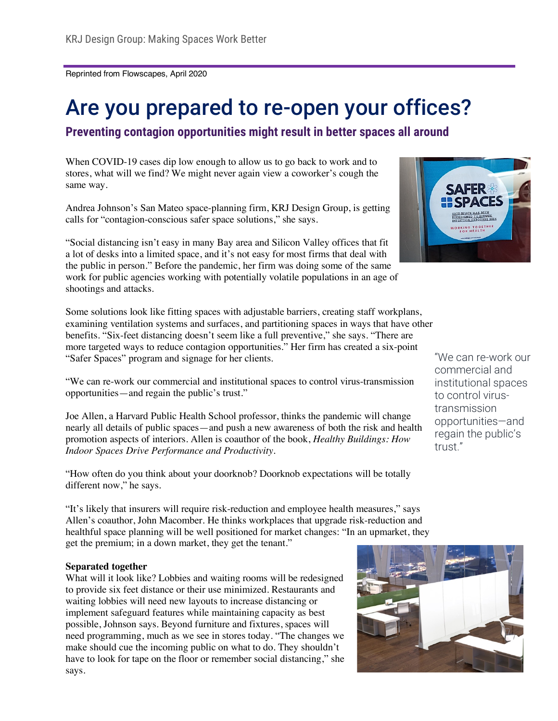Reprinted from Flowscapes, April 2020

# Are you prepared to re-open your offices?

**Preventing contagion opportunities might result in better spaces all around**

When COVID-19 cases dip low enough to allow us to go back to work and to stores, what will we find? We might never again view a coworker's cough the same way.

Andrea Johnson's San Mateo space-planning firm, KRJ Design Group, is getting calls for "contagion-conscious safer space solutions," she says.

"Social distancing isn't easy in many Bay area and Silicon Valley offices that fit a lot of desks into a limited space, and it's not easy for most firms that deal with the public in person." Before the pandemic, her firm was doing some of the same work for public agencies working with potentially volatile populations in an age of shootings and attacks.

Some solutions look like fitting spaces with adjustable barriers, creating staff workplans, examining ventilation systems and surfaces, and partitioning spaces in ways that have other benefits. "Six-feet distancing doesn't seem like a full preventive," she says. "There are more targeted ways to reduce contagion opportunities." Her firm has created a six-point "Safer Spaces" program and signage for her clients.

"We can re-work our commercial and institutional spaces to control virus-transmission opportunities—and regain the public's trust."

Joe Allen, a Harvard Public Health School professor, thinks the pandemic will change nearly all details of public spaces—and push a new awareness of both the risk and health promotion aspects of interiors. Allen is coauthor of the book, *Healthy Buildings: How Indoor Spaces Drive Performance and Productivity.*

"How often do you think about your doorknob? Doorknob expectations will be totally different now," he says.

"It's likely that insurers will require risk-reduction and employee health measures," says Allen's coauthor, John Macomber. He thinks workplaces that upgrade risk-reduction and healthful space planning will be well positioned for market changes: "In an upmarket, they get the premium; in a down market, they get the tenant."

#### **Separated together**

What will it look like? Lobbies and waiting rooms will be redesigned to provide six feet distance or their use minimized. Restaurants and waiting lobbies will need new layouts to increase distancing or implement safeguard features while maintaining capacity as best possible, Johnson says. Beyond furniture and fixtures, spaces will need programming, much as we see in stores today. "The changes we make should cue the incoming public on what to do. They shouldn't have to look for tape on the floor or remember social distancing," she says.





"We can re-work our commercial and institutional spaces to control virustransmission opportunities—and regain the public's trust."